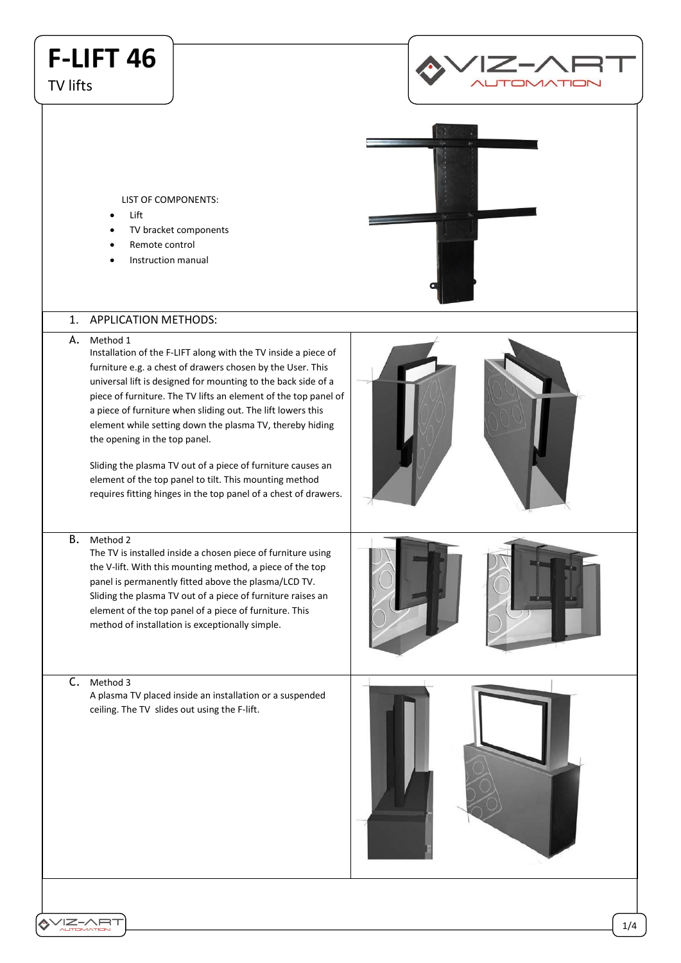# **F-LIFT 46**

TV lifts



LIST OF COMPONENTS:

- Lift
- TV bracket components
- Remote control
- Instruction manual

### 1. APPLICATION METHODS:

A. Method 1

Installation of the F-LIFT along with the TV inside a piece of furniture e.g. a chest of drawers chosen by the User. This universal lift is designed for mounting to the back side of a piece of furniture. The TV lifts an element of the top panel of a piece of furniture when sliding out. The lift lowers this element while setting down the plasma TV, thereby hiding the opening in the top panel.

Sliding the plasma TV out of a piece of furniture causes an element of the top panel to tilt. This mounting method requires fitting hinges in the top panel of a chest of drawers.

#### B. Method 2

The TV is installed inside a chosen piece of furniture using the V-lift. With this mounting method, a piece of the top panel is permanently fitted above the plasma/LCD TV. Sliding the plasma TV out of a piece of furniture raises an element of the top panel of a piece of furniture. This method of installation is exceptionally simple.

C. Method 3

A plasma TV placed inside an installation or a suspended ceiling. The TV slides out using the F-lift.

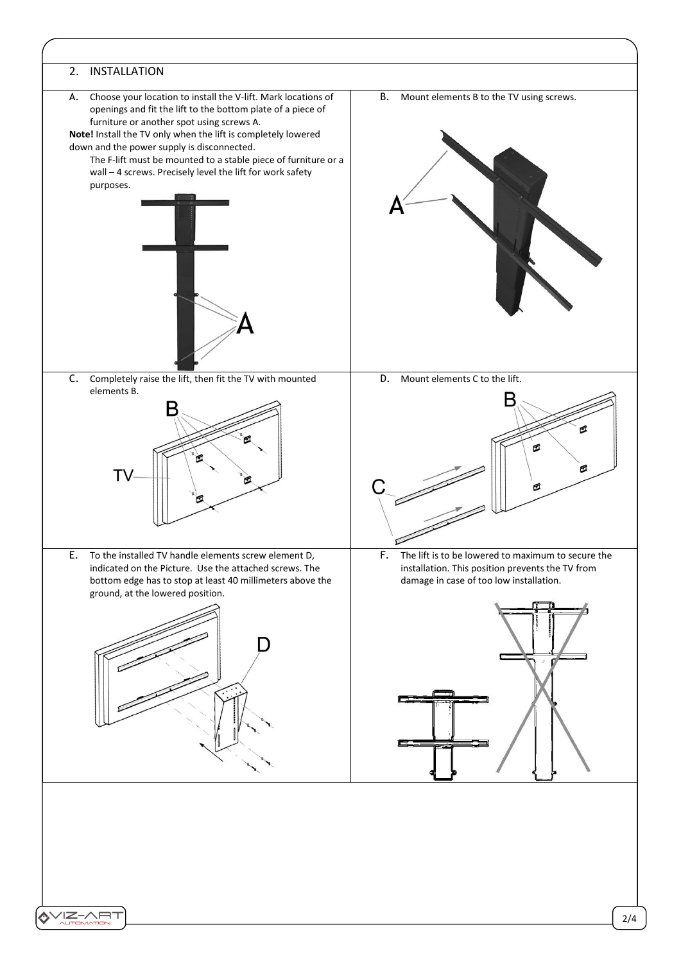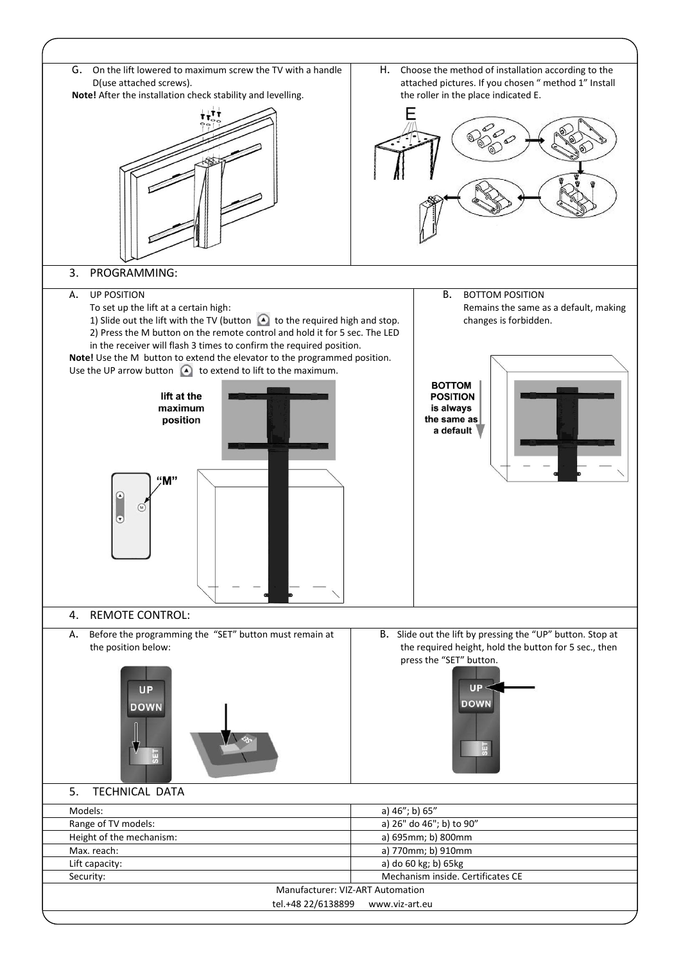